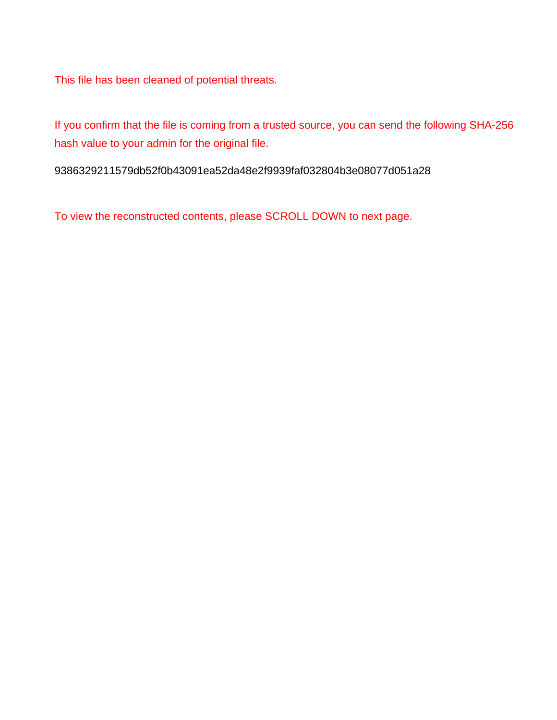This file has been cleaned of potential threats.

If you confirm that the file is coming from a trusted source, you can send the following SHA-256 hash value to your admin for the original file.

9386329211579db52f0b43091ea52da48e2f9939faf032804b3e08077d051a28

To view the reconstructed contents, please SCROLL DOWN to next page.